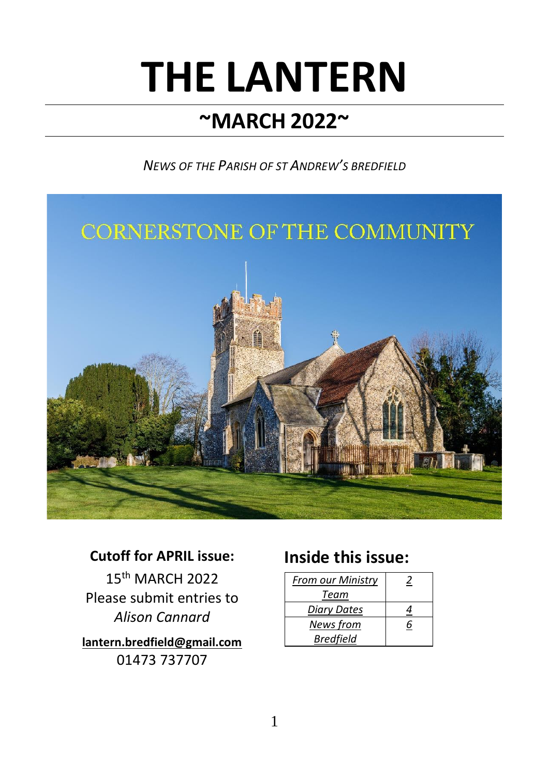# **THE LANTERN**

# **~MARCH 2022~**

*NEWS OF THE PARISH OF ST ANDREW'S BREDFIELD*



#### **Cutoff for APRIL issue:**

15th MARCH 2022 Please submit entries to *Alison Cannard*

**lantern.bredfield@gmail.com**

01473 737707

# **Inside this issue:**

| <b>From our Ministry</b> |   |
|--------------------------|---|
| Team                     |   |
| Diary Dates              |   |
| News from                | ь |
| <b>Bredfield</b>         |   |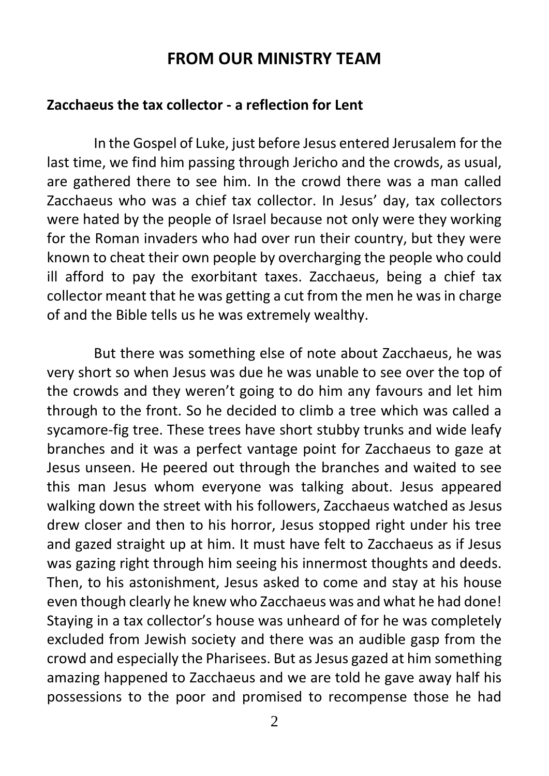#### **FROM OUR MINISTRY TEAM**

#### **Zacchaeus the tax collector - a reflection for Lent**

In the Gospel of Luke, just before Jesus entered Jerusalem for the last time, we find him passing through Jericho and the crowds, as usual, are gathered there to see him. In the crowd there was a man called Zacchaeus who was a chief tax collector. In Jesus' day, tax collectors were hated by the people of Israel because not only were they working for the Roman invaders who had over run their country, but they were known to cheat their own people by overcharging the people who could ill afford to pay the exorbitant taxes. Zacchaeus, being a chief tax collector meant that he was getting a cut from the men he was in charge of and the Bible tells us he was extremely wealthy.

But there was something else of note about Zacchaeus, he was very short so when Jesus was due he was unable to see over the top of the crowds and they weren't going to do him any favours and let him through to the front. So he decided to climb a tree which was called a sycamore-fig tree. These trees have short stubby trunks and wide leafy branches and it was a perfect vantage point for Zacchaeus to gaze at Jesus unseen. He peered out through the branches and waited to see this man Jesus whom everyone was talking about. Jesus appeared walking down the street with his followers, Zacchaeus watched as Jesus drew closer and then to his horror, Jesus stopped right under his tree and gazed straight up at him. It must have felt to Zacchaeus as if Jesus was gazing right through him seeing his innermost thoughts and deeds. Then, to his astonishment, Jesus asked to come and stay at his house even though clearly he knew who Zacchaeus was and what he had done! Staying in a tax collector's house was unheard of for he was completely excluded from Jewish society and there was an audible gasp from the crowd and especially the Pharisees. But as Jesus gazed at him something amazing happened to Zacchaeus and we are told he gave away half his possessions to the poor and promised to recompense those he had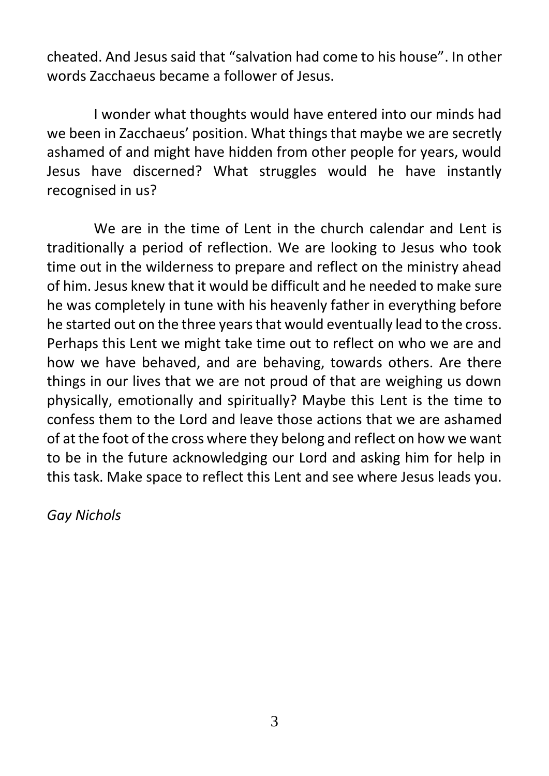cheated. And Jesus said that "salvation had come to his house". In other words Zacchaeus became a follower of Jesus.

I wonder what thoughts would have entered into our minds had we been in Zacchaeus' position. What things that maybe we are secretly ashamed of and might have hidden from other people for years, would Jesus have discerned? What struggles would he have instantly recognised in us?

We are in the time of Lent in the church calendar and Lent is traditionally a period of reflection. We are looking to Jesus who took time out in the wilderness to prepare and reflect on the ministry ahead of him. Jesus knew that it would be difficult and he needed to make sure he was completely in tune with his heavenly father in everything before he started out on the three years that would eventually lead to the cross. Perhaps this Lent we might take time out to reflect on who we are and how we have behaved, and are behaving, towards others. Are there things in our lives that we are not proud of that are weighing us down physically, emotionally and spiritually? Maybe this Lent is the time to confess them to the Lord and leave those actions that we are ashamed of at the foot of the cross where they belong and reflect on how we want to be in the future acknowledging our Lord and asking him for help in this task. Make space to reflect this Lent and see where Jesus leads you.

*Gay Nichols*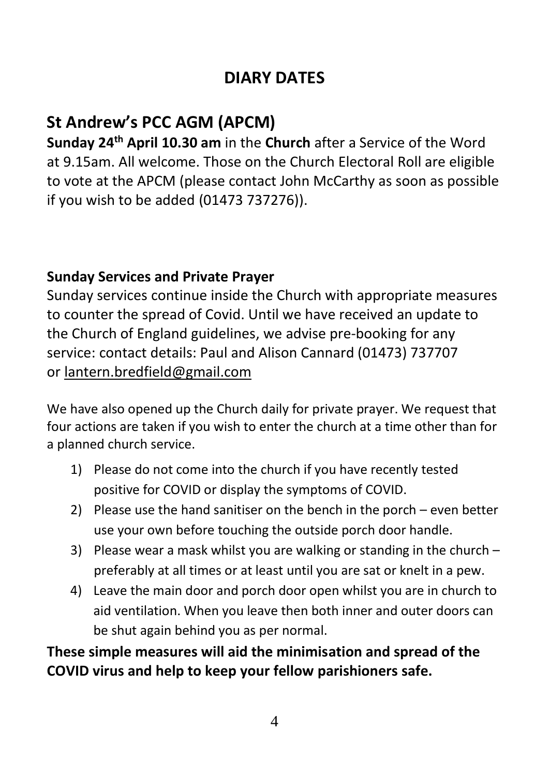# **DIARY DATES**

# **St Andrew's PCC AGM (APCM)**

**Sunday 24th April 10.30 am** in the **Church** after a Service of the Word at 9.15am. All welcome. Those on the Church Electoral Roll are eligible to vote at the APCM (please contact John McCarthy as soon as possible if you wish to be added (01473 737276)).

#### **Sunday Services and Private Prayer**

Sunday services continue inside the Church with appropriate measures to counter the spread of Covid. Until we have received an update to the Church of England guidelines, we advise pre-booking for any service: contact details: Paul and Alison Cannard (01473) 737707 or [lantern.bredfield@gmail.com](mailto:lantern.bredfield@gmail.com)

We have also opened up the Church daily for private prayer. We request that four actions are taken if you wish to enter the church at a time other than for a planned church service.

- 1) Please do not come into the church if you have recently tested positive for COVID or display the symptoms of COVID.
- 2) Please use the hand sanitiser on the bench in the porch even better use your own before touching the outside porch door handle.
- 3) Please wear a mask whilst you are walking or standing in the church preferably at all times or at least until you are sat or knelt in a pew.
- 4) Leave the main door and porch door open whilst you are in church to aid ventilation. When you leave then both inner and outer doors can be shut again behind you as per normal.

**These simple measures will aid the minimisation and spread of the COVID virus and help to keep your fellow parishioners safe.**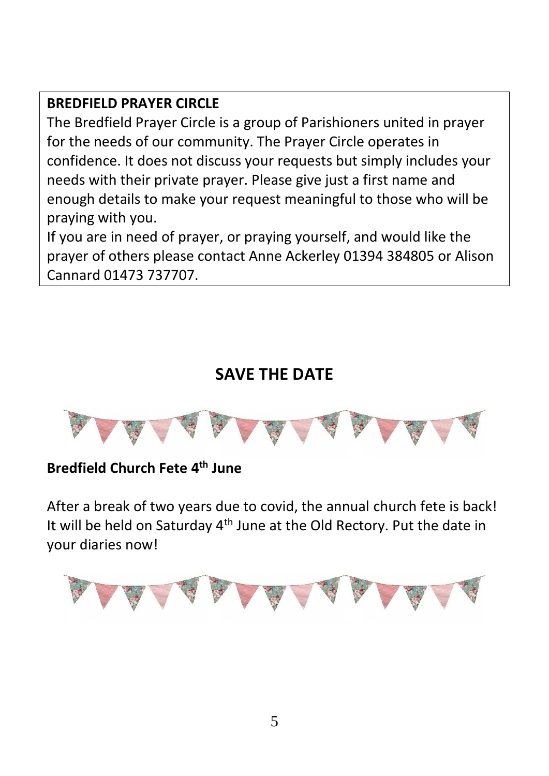#### **BREDFIELD PRAYER CIRCLE**

The Bredfield Prayer Circle is a group of Parishioners united in prayer for the needs of our community. The Prayer Circle operates in confidence. It does not discuss your requests but simply includes your needs with their private prayer. Please give just a first name and enough details to make your request meaningful to those who will be praying with you.

If you are in need of prayer, or praying yourself, and would like the prayer of others please contact Anne Ackerley 01394 384805 or Alison Cannard 01473 737707.

# **SAVE THE DATE**



**Bredfield Church Fete 4 th June**

After a break of two years due to covid, the annual church fete is back! It will be held on Saturday 4<sup>th</sup> June at the Old Rectory. Put the date in your diaries now!

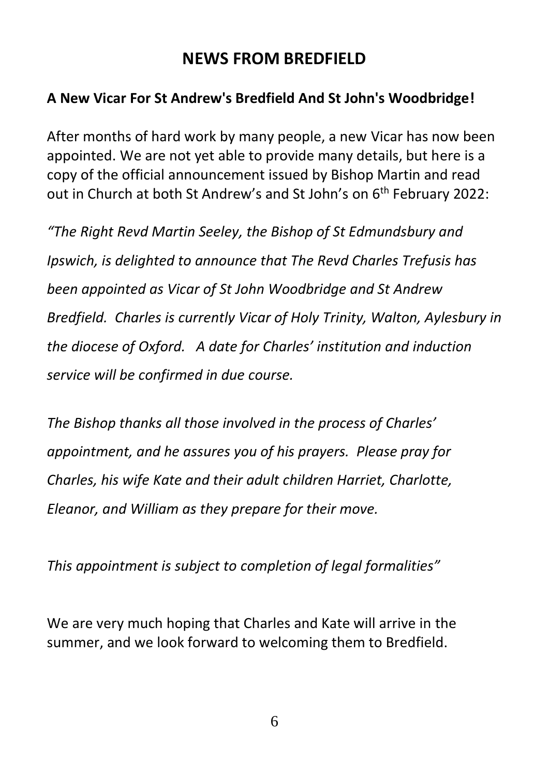## **NEWS FROM BREDFIELD**

#### **A New Vicar For St Andrew's Bredfield And St John's Woodbridge!**

After months of hard work by many people, a new Vicar has now been appointed. We are not yet able to provide many details, but here is a copy of the official announcement issued by Bishop Martin and read out in Church at both St Andrew's and St John's on 6<sup>th</sup> February 2022:

*"The Right Revd Martin Seeley, the Bishop of St Edmundsbury and Ipswich, is delighted to announce that The Revd Charles Trefusis has been appointed as Vicar of St John Woodbridge and St Andrew Bredfield. Charles is currently Vicar of Holy Trinity, Walton, Aylesbury in the diocese of Oxford. A date for Charles' institution and induction service will be confirmed in due course.* 

*The Bishop thanks all those involved in the process of Charles' appointment, and he assures you of his prayers. Please pray for Charles, his wife Kate and their adult children Harriet, Charlotte, Eleanor, and William as they prepare for their move.*

*This appointment is subject to completion of legal formalities"*

We are very much hoping that Charles and Kate will arrive in the summer, and we look forward to welcoming them to Bredfield.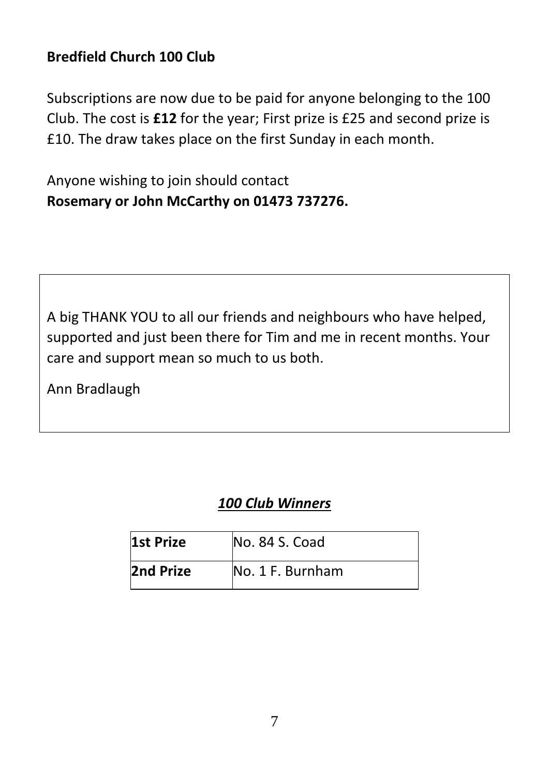#### **Bredfield Church 100 Club**

Subscriptions are now due to be paid for anyone belonging to the 100 Club. The cost is **£12** for the year; First prize is £25 and second prize is £10. The draw takes place on the first Sunday in each month.

Anyone wishing to join should contact **Rosemary or John McCarthy on 01473 737276.**

A big THANK YOU to all our friends and neighbours who have helped, supported and just been there for Tim and me in recent months. Your care and support mean so much to us both.

Ann Bradlaugh

#### *100 Club Winners*

| 1st Prize | No. 84 S. Coad   |
|-----------|------------------|
| 2nd Prize | No. 1 F. Burnham |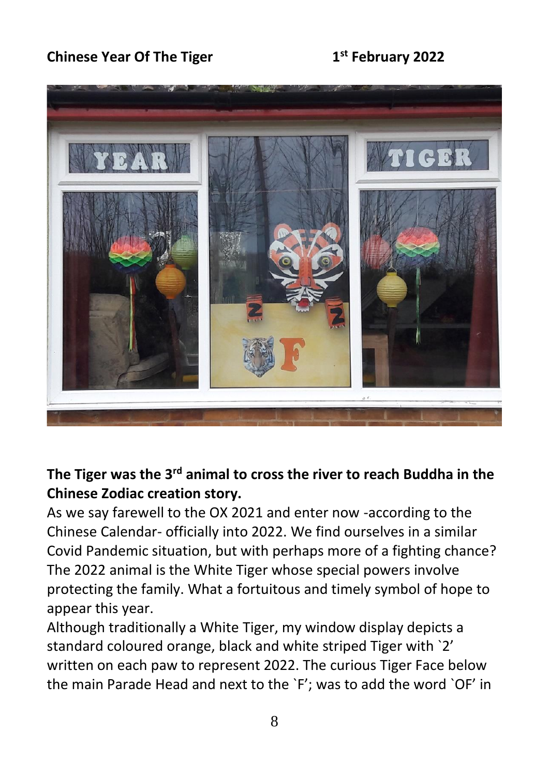#### **Chinese Year Of The Tiger**

#### **st February 2022**



#### **The Tiger was the 3rd animal to cross the river to reach Buddha in the Chinese Zodiac creation story.**

As we say farewell to the OX 2021 and enter now -according to the Chinese Calendar- officially into 2022. We find ourselves in a similar Covid Pandemic situation, but with perhaps more of a fighting chance? The 2022 animal is the White Tiger whose special powers involve protecting the family. What a fortuitous and timely symbol of hope to appear this year.

Although traditionally a White Tiger, my window display depicts a standard coloured orange, black and white striped Tiger with `2' written on each paw to represent 2022. The curious Tiger Face below the main Parade Head and next to the `F'; was to add the word `OF' in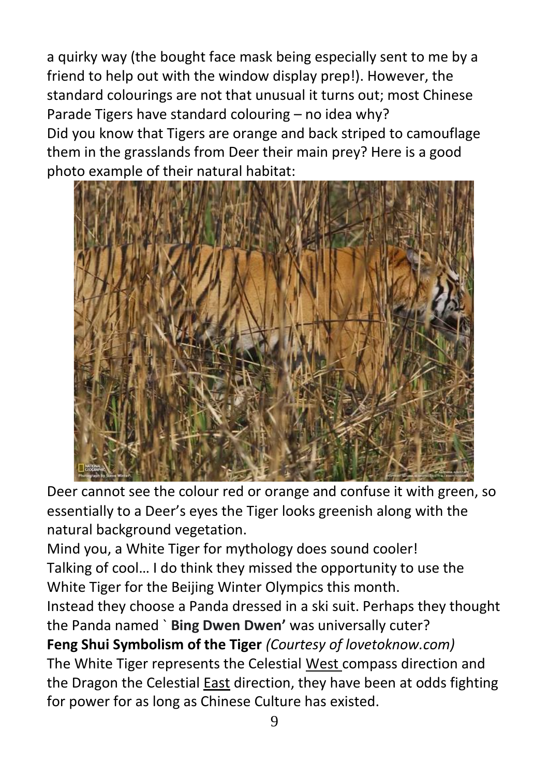a quirky way (the bought face mask being especially sent to me by a friend to help out with the window display prep!). However, the standard colourings are not that unusual it turns out; most Chinese Parade Tigers have standard colouring – no idea why? Did you know that Tigers are orange and back striped to camouflage them in the grasslands from Deer their main prey? Here is a good photo example of their natural habitat:



Deer cannot see the colour red or orange and confuse it with green, so essentially to a Deer's eyes the Tiger looks greenish along with the natural background vegetation.

Mind you, a White Tiger for mythology does sound cooler! Talking of cool… I do think they missed the opportunity to use the White Tiger for the Beijing Winter Olympics this month. Instead they choose a Panda dressed in a ski suit. Perhaps they thought the Panda named ` **Bing Dwen Dwen'** was universally cuter? **Feng Shui Symbolism of the Tiger** *(Courtesy of lovetoknow.com)* The White Tiger represents the Celestial West compass direction and the Dragon the Celestial East direction, they have been at odds fighting for power for as long as Chinese Culture has existed.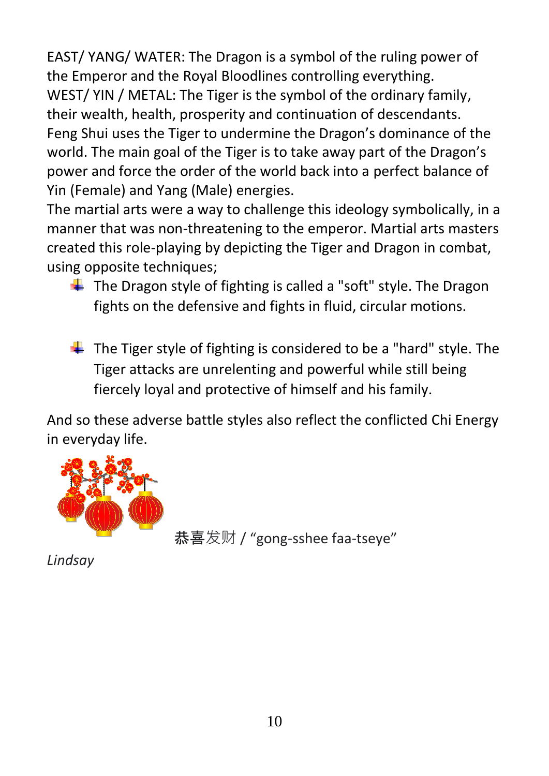EAST/ YANG/ WATER: The Dragon is a symbol of the ruling power of the Emperor and the Royal Bloodlines controlling everything. WEST/ YIN / METAL: The Tiger is the symbol of the ordinary family, their wealth, health, prosperity and continuation of descendants. Feng Shui uses the Tiger to undermine the Dragon's dominance of the world. The main goal of the Tiger is to take away part of the Dragon's power and force the order of the world back into a perfect balance of Yin (Female) and Yang (Male) energies.

The martial arts were a way to challenge this ideology symbolically, in a manner that was non-threatening to the emperor. Martial arts masters created this role-playing by depicting the Tiger and Dragon in combat, using opposite techniques;

- $\downarrow$  The Dragon style of fighting is called a "soft" style. The Dragon fights on the defensive and fights in fluid, circular motions.
- $\downarrow$  The Tiger style of fighting is considered to be a "hard" style. The Tiger attacks are unrelenting and powerful while still being fiercely loyal and protective of himself and his family.

And so these adverse battle styles also reflect the conflicted Chi Energy in everyday life.



恭喜发财 / "gong-sshee faa-tseye"

*Lindsay*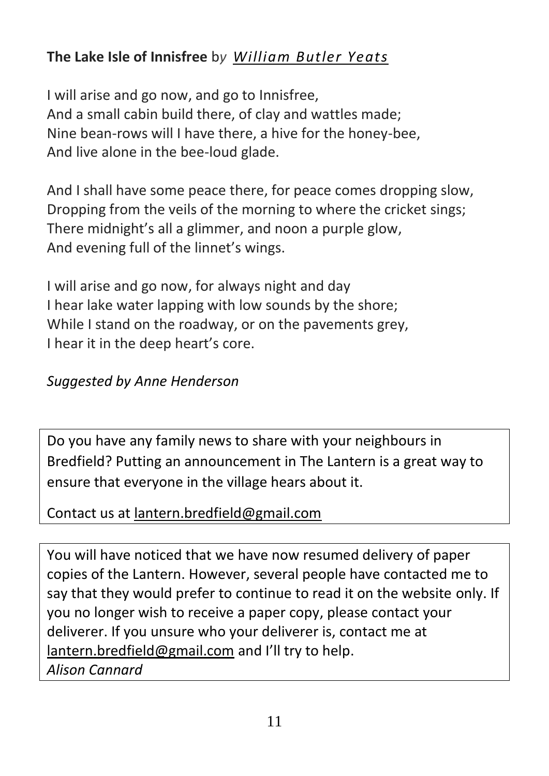## **The Lake Isle of Innisfree** b*y [William](https://www.poetryfoundation.org/poets/william-butler-yeats) Butler Yeats*

I will arise and go now, and go to Innisfree, And a small cabin build there, of clay and wattles made; Nine bean-rows will I have there, a hive for the honey-bee, And live alone in the bee-loud glade.

And I shall have some peace there, for peace comes dropping slow, Dropping from the veils of the morning to where the cricket sings; There midnight's all a glimmer, and noon a purple glow, And evening full of the linnet's wings.

I will arise and go now, for always night and day I hear lake water lapping with low sounds by the shore; While I stand on the roadway, or on the pavements grey, I hear it in the deep heart's core.

## *Suggested by Anne Henderson*

Do you have any family news to share with your neighbours in Bredfield? Putting an announcement in The Lantern is a great way to ensure that everyone in the village hears about it.

Contact us at [lantern.bredfield@gmail.com](mailto:lantern.bredfield@gmail.com)

You will have noticed that we have now resumed delivery of paper copies of the Lantern. However, several people have contacted me to say that they would prefer to continue to read it on the website only. If you no longer wish to receive a paper copy, please contact your deliverer. If you unsure who your deliverer is, contact me at [lantern.bredfield@gmail.com](mailto:lantern.bredfield@gmail.com) and I'll try to help. *Alison Cannard*